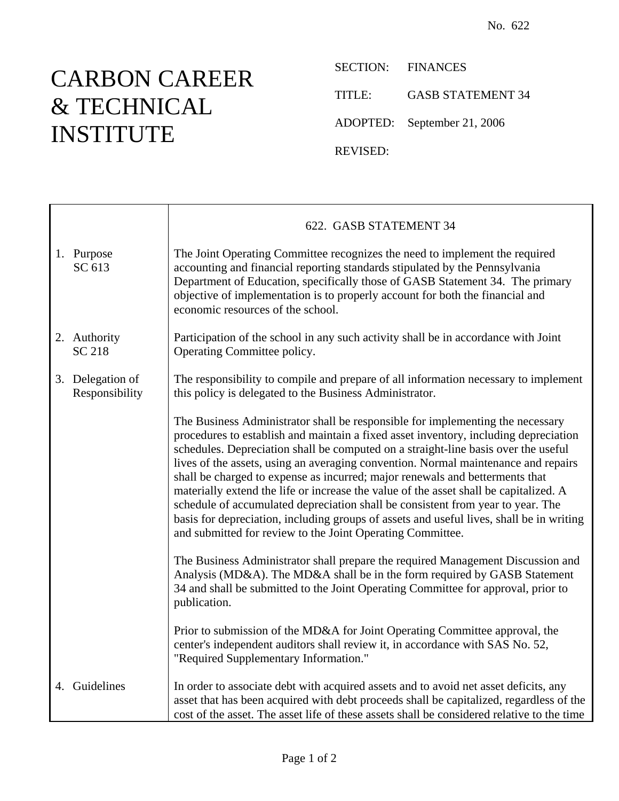## CARBON CAREER & TECHNICAL INSTITUTE

 $\top$ 

 $\mathsf{r}$ 

SECTION: FINANCES

TITLE: GASB STATEMENT 34

ADOPTED: September 21, 2006

REVISED:

|                                    | 622. GASB STATEMENT 34                                                                                                                                                                                                                                                                                                                                                                                                                                                                                                                                                                                                                                                                                                                                                   |
|------------------------------------|--------------------------------------------------------------------------------------------------------------------------------------------------------------------------------------------------------------------------------------------------------------------------------------------------------------------------------------------------------------------------------------------------------------------------------------------------------------------------------------------------------------------------------------------------------------------------------------------------------------------------------------------------------------------------------------------------------------------------------------------------------------------------|
| 1. Purpose<br>SC 613               | The Joint Operating Committee recognizes the need to implement the required<br>accounting and financial reporting standards stipulated by the Pennsylvania<br>Department of Education, specifically those of GASB Statement 34. The primary<br>objective of implementation is to properly account for both the financial and<br>economic resources of the school.                                                                                                                                                                                                                                                                                                                                                                                                        |
| 2. Authority<br><b>SC 218</b>      | Participation of the school in any such activity shall be in accordance with Joint<br>Operating Committee policy.                                                                                                                                                                                                                                                                                                                                                                                                                                                                                                                                                                                                                                                        |
| 3. Delegation of<br>Responsibility | The responsibility to compile and prepare of all information necessary to implement<br>this policy is delegated to the Business Administrator.                                                                                                                                                                                                                                                                                                                                                                                                                                                                                                                                                                                                                           |
|                                    | The Business Administrator shall be responsible for implementing the necessary<br>procedures to establish and maintain a fixed asset inventory, including depreciation<br>schedules. Depreciation shall be computed on a straight-line basis over the useful<br>lives of the assets, using an averaging convention. Normal maintenance and repairs<br>shall be charged to expense as incurred; major renewals and betterments that<br>materially extend the life or increase the value of the asset shall be capitalized. A<br>schedule of accumulated depreciation shall be consistent from year to year. The<br>basis for depreciation, including groups of assets and useful lives, shall be in writing<br>and submitted for review to the Joint Operating Committee. |
|                                    | The Business Administrator shall prepare the required Management Discussion and<br>Analysis (MD&A). The MD&A shall be in the form required by GASB Statement<br>34 and shall be submitted to the Joint Operating Committee for approval, prior to<br>publication.                                                                                                                                                                                                                                                                                                                                                                                                                                                                                                        |
|                                    | Prior to submission of the MD&A for Joint Operating Committee approval, the<br>center's independent auditors shall review it, in accordance with SAS No. 52,<br>"Required Supplementary Information."                                                                                                                                                                                                                                                                                                                                                                                                                                                                                                                                                                    |
| 4. Guidelines                      | In order to associate debt with acquired assets and to avoid net asset deficits, any<br>asset that has been acquired with debt proceeds shall be capitalized, regardless of the<br>cost of the asset. The asset life of these assets shall be considered relative to the time                                                                                                                                                                                                                                                                                                                                                                                                                                                                                            |